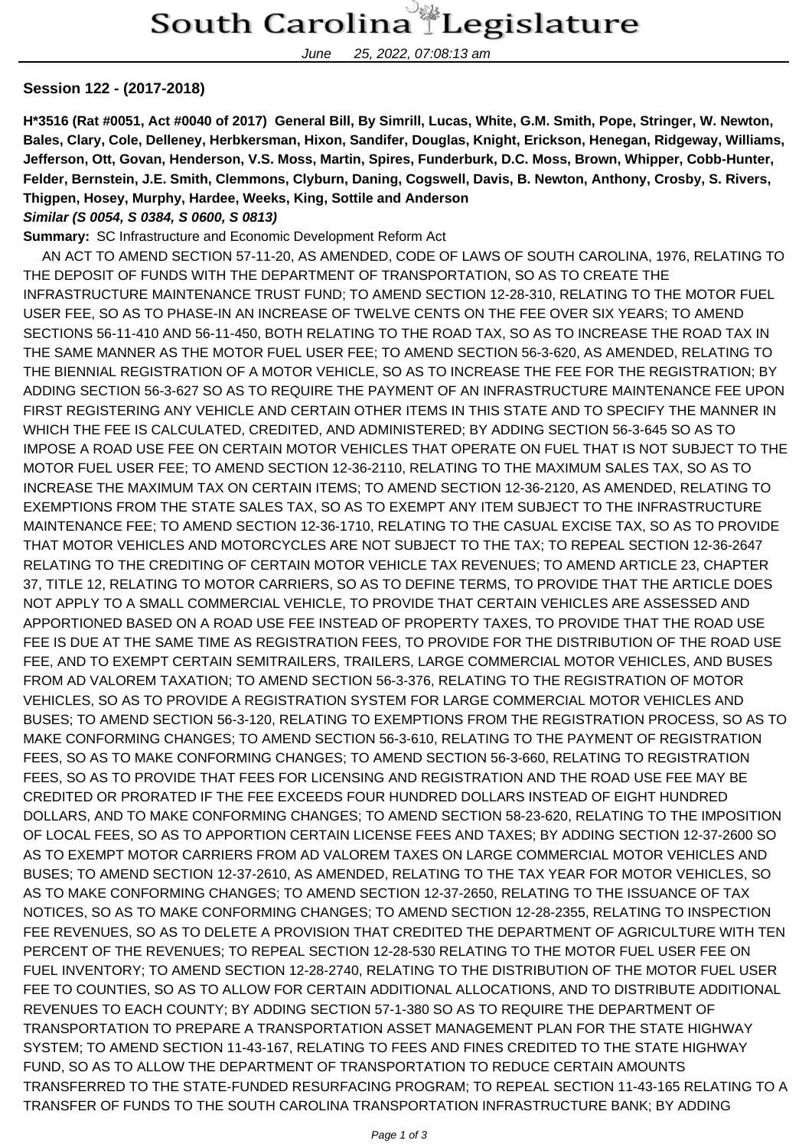June 25, 2022, 07:08:13 am

## **Session 122 - (2017-2018)**

**H\*3516 (Rat #0051, Act #0040 of 2017) General Bill, By Simrill, Lucas, White, G.M. Smith, Pope, Stringer, W. Newton, Bales, Clary, Cole, Delleney, Herbkersman, Hixon, Sandifer, Douglas, Knight, Erickson, Henegan, Ridgeway, Williams, Jefferson, Ott, Govan, Henderson, V.S. Moss, Martin, Spires, Funderburk, D.C. Moss, Brown, Whipper, Cobb-Hunter, Felder, Bernstein, J.E. Smith, Clemmons, Clyburn, Daning, Cogswell, Davis, B. Newton, Anthony, Crosby, S. Rivers, Thigpen, Hosey, Murphy, Hardee, Weeks, King, Sottile and Anderson Similar (S 0054, S 0384, S 0600, S 0813)**

## **Summary:** SC Infrastructure and Economic Development Reform Act

 AN ACT TO AMEND SECTION 57-11-20, AS AMENDED, CODE OF LAWS OF SOUTH CAROLINA, 1976, RELATING TO THE DEPOSIT OF FUNDS WITH THE DEPARTMENT OF TRANSPORTATION, SO AS TO CREATE THE INFRASTRUCTURE MAINTENANCE TRUST FUND; TO AMEND SECTION 12-28-310, RELATING TO THE MOTOR FUEL USER FEE, SO AS TO PHASE-IN AN INCREASE OF TWELVE CENTS ON THE FEE OVER SIX YEARS; TO AMEND SECTIONS 56-11-410 AND 56-11-450, BOTH RELATING TO THE ROAD TAX, SO AS TO INCREASE THE ROAD TAX IN THE SAME MANNER AS THE MOTOR FUEL USER FEE; TO AMEND SECTION 56-3-620, AS AMENDED, RELATING TO THE BIENNIAL REGISTRATION OF A MOTOR VEHICLE, SO AS TO INCREASE THE FEE FOR THE REGISTRATION; BY ADDING SECTION 56-3-627 SO AS TO REQUIRE THE PAYMENT OF AN INFRASTRUCTURE MAINTENANCE FEE UPON FIRST REGISTERING ANY VEHICLE AND CERTAIN OTHER ITEMS IN THIS STATE AND TO SPECIFY THE MANNER IN WHICH THE FEE IS CALCULATED, CREDITED, AND ADMINISTERED; BY ADDING SECTION 56-3-645 SO AS TO IMPOSE A ROAD USE FEE ON CERTAIN MOTOR VEHICLES THAT OPERATE ON FUEL THAT IS NOT SUBJECT TO THE MOTOR FUEL USER FEE; TO AMEND SECTION 12-36-2110, RELATING TO THE MAXIMUM SALES TAX, SO AS TO INCREASE THE MAXIMUM TAX ON CERTAIN ITEMS; TO AMEND SECTION 12-36-2120, AS AMENDED, RELATING TO EXEMPTIONS FROM THE STATE SALES TAX, SO AS TO EXEMPT ANY ITEM SUBJECT TO THE INFRASTRUCTURE MAINTENANCE FEE; TO AMEND SECTION 12-36-1710, RELATING TO THE CASUAL EXCISE TAX, SO AS TO PROVIDE THAT MOTOR VEHICLES AND MOTORCYCLES ARE NOT SUBJECT TO THE TAX; TO REPEAL SECTION 12-36-2647 RELATING TO THE CREDITING OF CERTAIN MOTOR VEHICLE TAX REVENUES; TO AMEND ARTICLE 23, CHAPTER 37, TITLE 12, RELATING TO MOTOR CARRIERS, SO AS TO DEFINE TERMS, TO PROVIDE THAT THE ARTICLE DOES NOT APPLY TO A SMALL COMMERCIAL VEHICLE, TO PROVIDE THAT CERTAIN VEHICLES ARE ASSESSED AND APPORTIONED BASED ON A ROAD USE FEE INSTEAD OF PROPERTY TAXES, TO PROVIDE THAT THE ROAD USE FEE IS DUE AT THE SAME TIME AS REGISTRATION FEES, TO PROVIDE FOR THE DISTRIBUTION OF THE ROAD USE FEE, AND TO EXEMPT CERTAIN SEMITRAILERS, TRAILERS, LARGE COMMERCIAL MOTOR VEHICLES, AND BUSES FROM AD VALOREM TAXATION; TO AMEND SECTION 56-3-376, RELATING TO THE REGISTRATION OF MOTOR VEHICLES, SO AS TO PROVIDE A REGISTRATION SYSTEM FOR LARGE COMMERCIAL MOTOR VEHICLES AND BUSES; TO AMEND SECTION 56-3-120, RELATING TO EXEMPTIONS FROM THE REGISTRATION PROCESS, SO AS TO MAKE CONFORMING CHANGES; TO AMEND SECTION 56-3-610, RELATING TO THE PAYMENT OF REGISTRATION FEES, SO AS TO MAKE CONFORMING CHANGES; TO AMEND SECTION 56-3-660, RELATING TO REGISTRATION FEES, SO AS TO PROVIDE THAT FEES FOR LICENSING AND REGISTRATION AND THE ROAD USE FEE MAY BE CREDITED OR PRORATED IF THE FEE EXCEEDS FOUR HUNDRED DOLLARS INSTEAD OF EIGHT HUNDRED DOLLARS, AND TO MAKE CONFORMING CHANGES; TO AMEND SECTION 58-23-620, RELATING TO THE IMPOSITION OF LOCAL FEES, SO AS TO APPORTION CERTAIN LICENSE FEES AND TAXES; BY ADDING SECTION 12-37-2600 SO AS TO EXEMPT MOTOR CARRIERS FROM AD VALOREM TAXES ON LARGE COMMERCIAL MOTOR VEHICLES AND BUSES; TO AMEND SECTION 12-37-2610, AS AMENDED, RELATING TO THE TAX YEAR FOR MOTOR VEHICLES, SO AS TO MAKE CONFORMING CHANGES; TO AMEND SECTION 12-37-2650, RELATING TO THE ISSUANCE OF TAX NOTICES, SO AS TO MAKE CONFORMING CHANGES; TO AMEND SECTION 12-28-2355, RELATING TO INSPECTION FEE REVENUES, SO AS TO DELETE A PROVISION THAT CREDITED THE DEPARTMENT OF AGRICULTURE WITH TEN PERCENT OF THE REVENUES; TO REPEAL SECTION 12-28-530 RELATING TO THE MOTOR FUEL USER FEE ON FUEL INVENTORY; TO AMEND SECTION 12-28-2740, RELATING TO THE DISTRIBUTION OF THE MOTOR FUEL USER FEE TO COUNTIES, SO AS TO ALLOW FOR CERTAIN ADDITIONAL ALLOCATIONS, AND TO DISTRIBUTE ADDITIONAL REVENUES TO EACH COUNTY; BY ADDING SECTION 57-1-380 SO AS TO REQUIRE THE DEPARTMENT OF TRANSPORTATION TO PREPARE A TRANSPORTATION ASSET MANAGEMENT PLAN FOR THE STATE HIGHWAY SYSTEM; TO AMEND SECTION 11-43-167, RELATING TO FEES AND FINES CREDITED TO THE STATE HIGHWAY FUND, SO AS TO ALLOW THE DEPARTMENT OF TRANSPORTATION TO REDUCE CERTAIN AMOUNTS TRANSFERRED TO THE STATE-FUNDED RESURFACING PROGRAM; TO REPEAL SECTION 11-43-165 RELATING TO A TRANSFER OF FUNDS TO THE SOUTH CAROLINA TRANSPORTATION INFRASTRUCTURE BANK; BY ADDING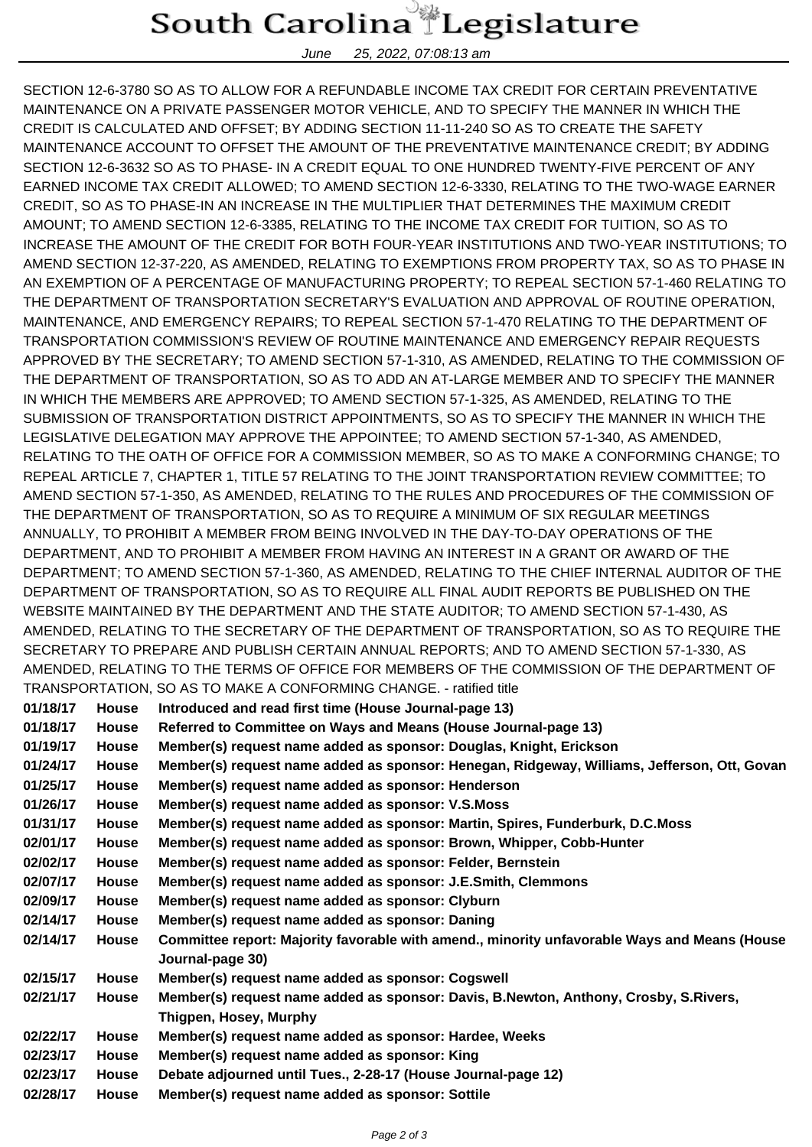## South Carolina Legislature

June 25, 2022, 07:08:13 am

SECTION 12-6-3780 SO AS TO ALLOW FOR A REFUNDABLE INCOME TAX CREDIT FOR CERTAIN PREVENTATIVE MAINTENANCE ON A PRIVATE PASSENGER MOTOR VEHICLE, AND TO SPECIFY THE MANNER IN WHICH THE CREDIT IS CALCULATED AND OFFSET; BY ADDING SECTION 11-11-240 SO AS TO CREATE THE SAFETY MAINTENANCE ACCOUNT TO OFFSET THE AMOUNT OF THE PREVENTATIVE MAINTENANCE CREDIT; BY ADDING SECTION 12-6-3632 SO AS TO PHASE- IN A CREDIT EQUAL TO ONE HUNDRED TWENTY-FIVE PERCENT OF ANY EARNED INCOME TAX CREDIT ALLOWED; TO AMEND SECTION 12-6-3330, RELATING TO THE TWO-WAGE EARNER CREDIT, SO AS TO PHASE-IN AN INCREASE IN THE MULTIPLIER THAT DETERMINES THE MAXIMUM CREDIT AMOUNT; TO AMEND SECTION 12-6-3385, RELATING TO THE INCOME TAX CREDIT FOR TUITION, SO AS TO INCREASE THE AMOUNT OF THE CREDIT FOR BOTH FOUR-YEAR INSTITUTIONS AND TWO-YEAR INSTITUTIONS; TO AMEND SECTION 12-37-220, AS AMENDED, RELATING TO EXEMPTIONS FROM PROPERTY TAX, SO AS TO PHASE IN AN EXEMPTION OF A PERCENTAGE OF MANUFACTURING PROPERTY; TO REPEAL SECTION 57-1-460 RELATING TO THE DEPARTMENT OF TRANSPORTATION SECRETARY'S EVALUATION AND APPROVAL OF ROUTINE OPERATION, MAINTENANCE, AND EMERGENCY REPAIRS; TO REPEAL SECTION 57-1-470 RELATING TO THE DEPARTMENT OF TRANSPORTATION COMMISSION'S REVIEW OF ROUTINE MAINTENANCE AND EMERGENCY REPAIR REQUESTS APPROVED BY THE SECRETARY; TO AMEND SECTION 57-1-310, AS AMENDED, RELATING TO THE COMMISSION OF THE DEPARTMENT OF TRANSPORTATION, SO AS TO ADD AN AT-LARGE MEMBER AND TO SPECIFY THE MANNER IN WHICH THE MEMBERS ARE APPROVED; TO AMEND SECTION 57-1-325, AS AMENDED, RELATING TO THE SUBMISSION OF TRANSPORTATION DISTRICT APPOINTMENTS, SO AS TO SPECIFY THE MANNER IN WHICH THE LEGISLATIVE DELEGATION MAY APPROVE THE APPOINTEE; TO AMEND SECTION 57-1-340, AS AMENDED, RELATING TO THE OATH OF OFFICE FOR A COMMISSION MEMBER, SO AS TO MAKE A CONFORMING CHANGE; TO REPEAL ARTICLE 7, CHAPTER 1, TITLE 57 RELATING TO THE JOINT TRANSPORTATION REVIEW COMMITTEE; TO AMEND SECTION 57-1-350, AS AMENDED, RELATING TO THE RULES AND PROCEDURES OF THE COMMISSION OF THE DEPARTMENT OF TRANSPORTATION, SO AS TO REQUIRE A MINIMUM OF SIX REGULAR MEETINGS ANNUALLY, TO PROHIBIT A MEMBER FROM BEING INVOLVED IN THE DAY-TO-DAY OPERATIONS OF THE DEPARTMENT, AND TO PROHIBIT A MEMBER FROM HAVING AN INTEREST IN A GRANT OR AWARD OF THE DEPARTMENT; TO AMEND SECTION 57-1-360, AS AMENDED, RELATING TO THE CHIEF INTERNAL AUDITOR OF THE DEPARTMENT OF TRANSPORTATION, SO AS TO REQUIRE ALL FINAL AUDIT REPORTS BE PUBLISHED ON THE WEBSITE MAINTAINED BY THE DEPARTMENT AND THE STATE AUDITOR; TO AMEND SECTION 57-1-430, AS AMENDED, RELATING TO THE SECRETARY OF THE DEPARTMENT OF TRANSPORTATION, SO AS TO REQUIRE THE SECRETARY TO PREPARE AND PUBLISH CERTAIN ANNUAL REPORTS; AND TO AMEND SECTION 57-1-330, AS AMENDED, RELATING TO THE TERMS OF OFFICE FOR MEMBERS OF THE COMMISSION OF THE DEPARTMENT OF TRANSPORTATION, SO AS TO MAKE A CONFORMING CHANGE. - ratified title

| 01/18/17 | <b>House</b> | Introduced and read first time (House Journal-page 13)                                                           |
|----------|--------------|------------------------------------------------------------------------------------------------------------------|
| 01/18/17 | <b>House</b> | Referred to Committee on Ways and Means (House Journal-page 13)                                                  |
| 01/19/17 | <b>House</b> | Member(s) request name added as sponsor: Douglas, Knight, Erickson                                               |
| 01/24/17 | <b>House</b> | Member(s) request name added as sponsor: Henegan, Ridgeway, Williams, Jefferson, Ott, Govan                      |
| 01/25/17 | <b>House</b> | Member(s) request name added as sponsor: Henderson                                                               |
| 01/26/17 | <b>House</b> | Member(s) request name added as sponsor: V.S.Moss                                                                |
| 01/31/17 | <b>House</b> | Member(s) request name added as sponsor: Martin, Spires, Funderburk, D.C.Moss                                    |
| 02/01/17 | <b>House</b> | Member(s) request name added as sponsor: Brown, Whipper, Cobb-Hunter                                             |
| 02/02/17 | <b>House</b> | Member(s) request name added as sponsor: Felder, Bernstein                                                       |
| 02/07/17 | House        | Member(s) request name added as sponsor: J.E.Smith, Clemmons                                                     |
| 02/09/17 | House        | Member(s) request name added as sponsor: Clyburn                                                                 |
| 02/14/17 | House        | Member(s) request name added as sponsor: Daning                                                                  |
| 02/14/17 | <b>House</b> | Committee report: Majority favorable with amend., minority unfavorable Ways and Means (House<br>Journal-page 30) |
| 02/15/17 | <b>House</b> | Member(s) request name added as sponsor: Cogswell                                                                |
| 02/21/17 | House        | Member(s) request name added as sponsor: Davis, B.Newton, Anthony, Crosby, S.Rivers,                             |
|          |              | Thigpen, Hosey, Murphy                                                                                           |
| 02/22/17 | <b>House</b> | Member(s) request name added as sponsor: Hardee, Weeks                                                           |
| 02/23/17 | <b>House</b> | Member(s) request name added as sponsor: King                                                                    |
| 02/23/17 | <b>House</b> | Debate adjourned until Tues., 2-28-17 (House Journal-page 12)                                                    |
| 02/28/17 | <b>House</b> | Member(s) request name added as sponsor: Sottile                                                                 |